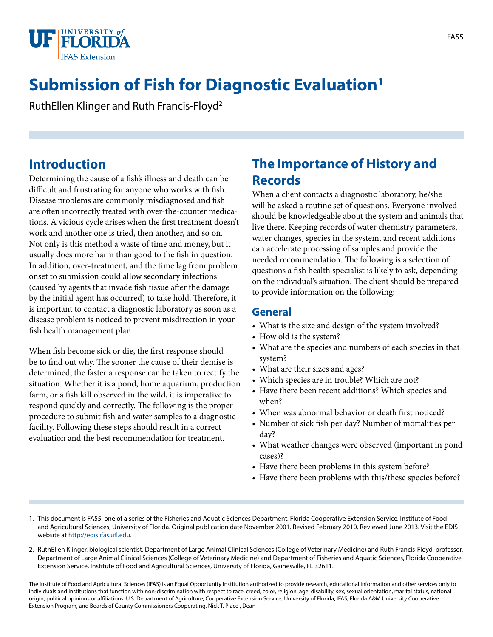

# **Submission of Fish for Diagnostic Evaluation1**

RuthEllen Klinger and Ruth Francis-Floyd2

#### **Introduction**

Determining the cause of a fish's illness and death can be difficult and frustrating for anyone who works with fish. Disease problems are commonly misdiagnosed and fish are often incorrectly treated with over-the-counter medications. A vicious cycle arises when the first treatment doesn't work and another one is tried, then another, and so on. Not only is this method a waste of time and money, but it usually does more harm than good to the fish in question. In addition, over-treatment, and the time lag from problem onset to submission could allow secondary infections (caused by agents that invade fish tissue after the damage by the initial agent has occurred) to take hold. Therefore, it is important to contact a diagnostic laboratory as soon as a disease problem is noticed to prevent misdirection in your fish health management plan.

When fish become sick or die, the first response should be to find out why. The sooner the cause of their demise is determined, the faster a response can be taken to rectify the situation. Whether it is a pond, home aquarium, production farm, or a fish kill observed in the wild, it is imperative to respond quickly and correctly. The following is the proper procedure to submit fish and water samples to a diagnostic facility. Following these steps should result in a correct evaluation and the best recommendation for treatment.

### **The Importance of History and Records**

When a client contacts a diagnostic laboratory, he/she will be asked a routine set of questions. Everyone involved should be knowledgeable about the system and animals that live there. Keeping records of water chemistry parameters, water changes, species in the system, and recent additions can accelerate processing of samples and provide the needed recommendation. The following is a selection of questions a fish health specialist is likely to ask, depending on the individual's situation. The client should be prepared to provide information on the following:

#### **General**

- What is the size and design of the system involved?
- How old is the system?
- What are the species and numbers of each species in that system?
- What are their sizes and ages?
- Which species are in trouble? Which are not?
- Have there been recent additions? Which species and when?
- When was abnormal behavior or death first noticed?
- Number of sick fish per day? Number of mortalities per day?
- What weather changes were observed (important in pond cases)?
- Have there been problems in this system before?
- Have there been problems with this/these species before?
- 1. This document is FA55, one of a series of the Fisheries and Aquatic Sciences Department, Florida Cooperative Extension Service, Institute of Food and Agricultural Sciences, University of Florida. Original publication date November 2001. Revised February 2010. Reviewed June 2013. Visit the EDIS website at [http://edis.ifas.ufl.edu.](http://edis.ifas.ufl.edu)
- 2. RuthEllen Klinger, biological scientist, Department of Large Animal Clinical Sciences (College of Veterinary Medicine) and Ruth Francis-Floyd, professor, Department of Large Animal Clinical Sciences (College of Veterinary Medicine) and Department of Fisheries and Aquatic Sciences, Florida Cooperative Extension Service, Institute of Food and Agricultural Sciences, University of Florida, Gainesville, FL 32611.

The Institute of Food and Agricultural Sciences (IFAS) is an Equal Opportunity Institution authorized to provide research, educational information and other services only to individuals and institutions that function with non-discrimination with respect to race, creed, color, religion, age, disability, sex, sexual orientation, marital status, national origin, political opinions or affiliations. U.S. Department of Agriculture, Cooperative Extension Service, University of Florida, IFAS, Florida A&M University Cooperative Extension Program, and Boards of County Commissioners Cooperating. Nick T. Place , Dean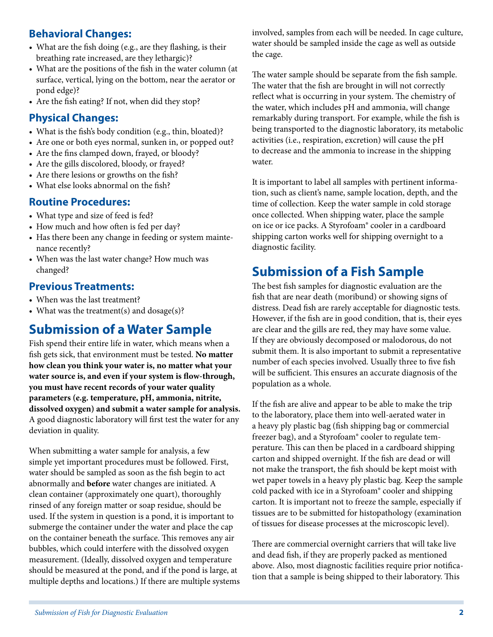#### **Behavioral Changes:**

- What are the fish doing (e.g., are they flashing, is their breathing rate increased, are they lethargic)?
- What are the positions of the fish in the water column (at surface, vertical, lying on the bottom, near the aerator or pond edge)?
- Are the fish eating? If not, when did they stop?

#### **Physical Changes:**

- What is the fish's body condition (e.g., thin, bloated)?
- Are one or both eyes normal, sunken in, or popped out?
- Are the fins clamped down, frayed, or bloody?
- Are the gills discolored, bloody, or frayed?
- Are there lesions or growths on the fish?
- What else looks abnormal on the fish?

#### **Routine Procedures:**

- What type and size of feed is fed?
- How much and how often is fed per day?
- Has there been any change in feeding or system maintenance recently?
- When was the last water change? How much was changed?

#### **Previous Treatments:**

- When was the last treatment?
- What was the treatment(s) and dosage(s)?

### **Submission of a Water Sample**

Fish spend their entire life in water, which means when a fish gets sick, that environment must be tested. **No matter how clean you think your water is, no matter what your water source is, and even if your system is flow-through, you must have recent records of your water quality parameters (e.g. temperature, pH, ammonia, nitrite, dissolved oxygen) and submit a water sample for analysis.** A good diagnostic laboratory will first test the water for any deviation in quality.

When submitting a water sample for analysis, a few simple yet important procedures must be followed. First, water should be sampled as soon as the fish begin to act abnormally and **before** water changes are initiated. A clean container (approximately one quart), thoroughly rinsed of any foreign matter or soap residue, should be used. If the system in question is a pond, it is important to submerge the container under the water and place the cap on the container beneath the surface. This removes any air bubbles, which could interfere with the dissolved oxygen measurement. (Ideally, dissolved oxygen and temperature should be measured at the pond, and if the pond is large, at multiple depths and locations.) If there are multiple systems involved, samples from each will be needed. In cage culture, water should be sampled inside the cage as well as outside the cage.

The water sample should be separate from the fish sample. The water that the fish are brought in will not correctly reflect what is occurring in your system. The chemistry of the water, which includes pH and ammonia, will change remarkably during transport. For example, while the fish is being transported to the diagnostic laboratory, its metabolic activities (i.e., respiration, excretion) will cause the pH to decrease and the ammonia to increase in the shipping water.

It is important to label all samples with pertinent information, such as client's name, sample location, depth, and the time of collection. Keep the water sample in cold storage once collected. When shipping water, place the sample on ice or ice packs. A Styrofoam® cooler in a cardboard shipping carton works well for shipping overnight to a diagnostic facility.

### **Submission of a Fish Sample**

The best fish samples for diagnostic evaluation are the fish that are near death (moribund) or showing signs of distress. Dead fish are rarely acceptable for diagnostic tests. However, if the fish are in good condition, that is, their eyes are clear and the gills are red, they may have some value. If they are obviously decomposed or malodorous, do not submit them. It is also important to submit a representative number of each species involved. Usually three to five fish will be sufficient. This ensures an accurate diagnosis of the population as a whole.

If the fish are alive and appear to be able to make the trip to the laboratory, place them into well-aerated water in a heavy ply plastic bag (fish shipping bag or commercial freezer bag), and a Styrofoam® cooler to regulate temperature. This can then be placed in a cardboard shipping carton and shipped overnight. If the fish are dead or will not make the transport, the fish should be kept moist with wet paper towels in a heavy ply plastic bag. Keep the sample cold packed with ice in a Styrofoam® cooler and shipping carton. It is important not to freeze the sample, especially if tissues are to be submitted for histopathology (examination of tissues for disease processes at the microscopic level).

There are commercial overnight carriers that will take live and dead fish, if they are properly packed as mentioned above. Also, most diagnostic facilities require prior notification that a sample is being shipped to their laboratory. This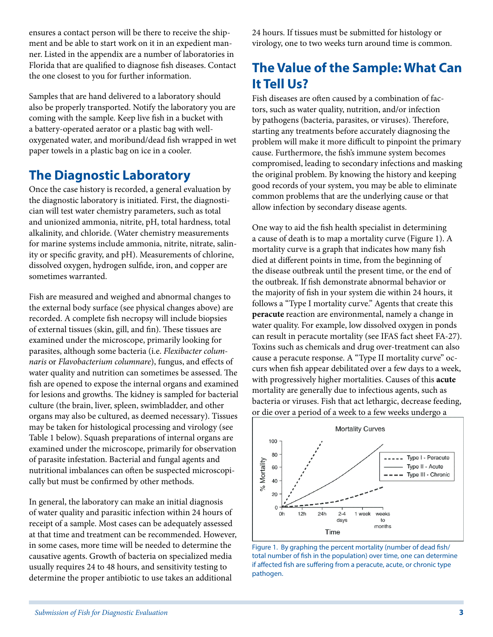ensures a contact person will be there to receive the shipment and be able to start work on it in an expedient manner. Listed in the appendix are a number of laboratories in Florida that are qualified to diagnose fish diseases. Contact the one closest to you for further information.

Samples that are hand delivered to a laboratory should also be properly transported. Notify the laboratory you are coming with the sample. Keep live fish in a bucket with a battery-operated aerator or a plastic bag with welloxygenated water, and moribund/dead fish wrapped in wet paper towels in a plastic bag on ice in a cooler.

### **The Diagnostic Laboratory**

Once the case history is recorded, a general evaluation by the diagnostic laboratory is initiated. First, the diagnostician will test water chemistry parameters, such as total and unionized ammonia, nitrite, pH, total hardness, total alkalinity, and chloride. (Water chemistry measurements for marine systems include ammonia, nitrite, nitrate, salinity or specific gravity, and pH). Measurements of chlorine, dissolved oxygen, hydrogen sulfide, iron, and copper are sometimes warranted.

Fish are measured and weighed and abnormal changes to the external body surface (see physical changes above) are recorded. A complete fish necropsy will include biopsies of external tissues (skin, gill, and fin). These tissues are examined under the microscope, primarily looking for parasites, although some bacteria (i.e. *Flexibacter columnaris* or *Flavobacterium columnare*), fungus, and effects of water quality and nutrition can sometimes be assessed. The fish are opened to expose the internal organs and examined for lesions and growths. The kidney is sampled for bacterial culture (the brain, liver, spleen, swimbladder, and other organs may also be cultured, as deemed necessary). Tissues may be taken for histological processing and virology (see Table 1 below). Squash preparations of internal organs are examined under the microscope, primarily for observation of parasite infestation. Bacterial and fungal agents and nutritional imbalances can often be suspected microscopically but must be confirmed by other methods.

In general, the laboratory can make an initial diagnosis of water quality and parasitic infection within 24 hours of receipt of a sample. Most cases can be adequately assessed at that time and treatment can be recommended. However, in some cases, more time will be needed to determine the causative agents. Growth of bacteria on specialized media usually requires 24 to 48 hours, and sensitivity testing to determine the proper antibiotic to use takes an additional

24 hours. If tissues must be submitted for histology or virology, one to two weeks turn around time is common.

# **The Value of the Sample: What Can It Tell Us?**

Fish diseases are often caused by a combination of factors, such as water quality, nutrition, and/or infection by pathogens (bacteria, parasites, or viruses). Therefore, starting any treatments before accurately diagnosing the problem will make it more difficult to pinpoint the primary cause. Furthermore, the fish's immune system becomes compromised, leading to secondary infections and masking the original problem. By knowing the history and keeping good records of your system, you may be able to eliminate common problems that are the underlying cause or that allow infection by secondary disease agents.

One way to aid the fish health specialist in determining a cause of death is to map a mortality curve (Figure 1). A mortality curve is a graph that indicates how many fish died at different points in time, from the beginning of the disease outbreak until the present time, or the end of the outbreak. If fish demonstrate abnormal behavior or the majority of fish in your system die within 24 hours, it follows a "Type I mortality curve." Agents that create this **peracute** reaction are environmental, namely a change in water quality. For example, low dissolved oxygen in ponds can result in peracute mortality (see IFAS fact sheet FA-27). Toxins such as chemicals and drug over-treatment can also cause a peracute response. A "Type II mortality curve" occurs when fish appear debilitated over a few days to a week, with progressively higher mortalities. Causes of this **acute** mortality are generally due to infectious agents, such as bacteria or viruses. Fish that act lethargic, decrease feeding, or die over a period of a week to a few weeks undergo a



Figure 1. By graphing the percent mortality (number of dead fish/ total number of fish in the population) over time, one can determine if affected fish are suffering from a peracute, acute, or chronic type pathogen.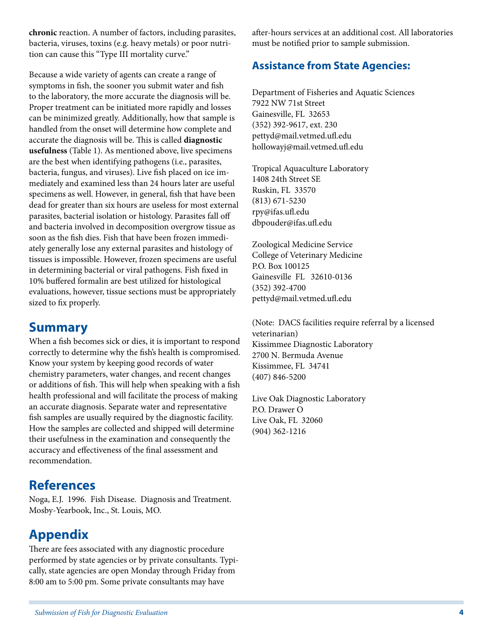**chronic** reaction. A number of factors, including parasites, bacteria, viruses, toxins (e.g. heavy metals) or poor nutrition can cause this "Type III mortality curve."

Because a wide variety of agents can create a range of symptoms in fish, the sooner you submit water and fish to the laboratory, the more accurate the diagnosis will be. Proper treatment can be initiated more rapidly and losses can be minimized greatly. Additionally, how that sample is handled from the onset will determine how complete and accurate the diagnosis will be. This is called **diagnostic usefulness** (Table 1). As mentioned above, live specimens are the best when identifying pathogens (i.e., parasites, bacteria, fungus, and viruses). Live fish placed on ice immediately and examined less than 24 hours later are useful specimens as well. However, in general, fish that have been dead for greater than six hours are useless for most external parasites, bacterial isolation or histology. Parasites fall off and bacteria involved in decomposition overgrow tissue as soon as the fish dies. Fish that have been frozen immediately generally lose any external parasites and histology of tissues is impossible. However, frozen specimens are useful in determining bacterial or viral pathogens. Fish fixed in 10% buffered formalin are best utilized for histological evaluations, however, tissue sections must be appropriately sized to fix properly.

### **Summary**

When a fish becomes sick or dies, it is important to respond correctly to determine why the fish's health is compromised. Know your system by keeping good records of water chemistry parameters, water changes, and recent changes or additions of fish. This will help when speaking with a fish health professional and will facilitate the process of making an accurate diagnosis. Separate water and representative fish samples are usually required by the diagnostic facility. How the samples are collected and shipped will determine their usefulness in the examination and consequently the accuracy and effectiveness of the final assessment and recommendation.

#### **References**

Noga, E.J. 1996. Fish Disease. Diagnosis and Treatment. Mosby-Yearbook, Inc., St. Louis, MO.

## **Appendix**

There are fees associated with any diagnostic procedure performed by state agencies or by private consultants. Typically, state agencies are open Monday through Friday from 8:00 am to 5:00 pm. Some private consultants may have

after-hours services at an additional cost. All laboratories must be notified prior to sample submission.

#### **Assistance from State Agencies:**

Department of Fisheries and Aquatic Sciences 7922 NW 71st Street Gainesville, FL 32653 (352) 392-9617, ext. 230 pettyd@mail.vetmed.ufl.edu hollowayj@mail.vetmed.ufl.edu

Tropical Aquaculture Laboratory 1408 24th Street SE Ruskin, FL 33570 (813) 671-5230 rpy@ifas.ufl.edu dbpouder@ifas.ufl.edu

Zoological Medicine Service College of Veterinary Medicine P.O. Box 100125 Gainesville FL 32610-0136 (352) 392-4700 pettyd@mail.vetmed.ufl.edu

(Note: DACS facilities require referral by a licensed veterinarian) Kissimmee Diagnostic Laboratory 2700 N. Bermuda Avenue Kissimmee, FL 34741 (407) 846-5200

Live Oak Diagnostic Laboratory P.O. Drawer O Live Oak, FL 32060 (904) 362-1216